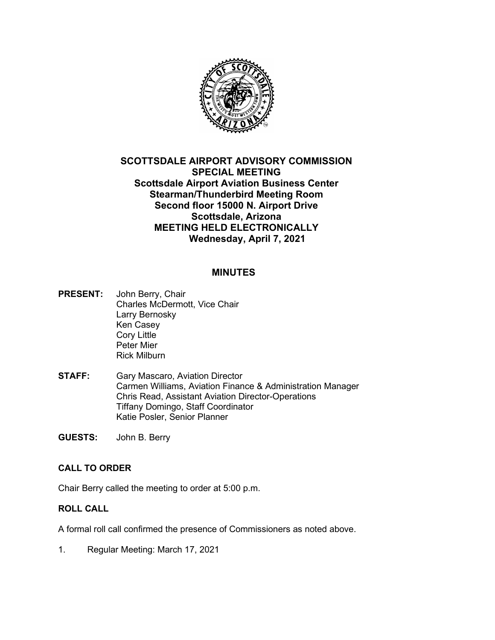

# **SCOTTSDALE AIRPORT ADVISORY COMMISSION SPECIAL MEETING Scottsdale Airport Aviation Business Center Stearman/Thunderbird Meeting Room Second floor 15000 N. Airport Drive Scottsdale, Arizona MEETING HELD ELECTRONICALLY Wednesday, April 7, 2021**

## **MINUTES**

- **PRESENT:** John Berry, Chair Charles McDermott, Vice Chair Larry Bernosky Ken Casey Cory Little Peter Mier Rick Milburn
- **STAFF:** Gary Mascaro, Aviation Director Carmen Williams, Aviation Finance & Administration Manager Chris Read, Assistant Aviation Director-Operations Tiffany Domingo, Staff Coordinator Katie Posler, Senior Planner
- **GUESTS:** John B. Berry

## **CALL TO ORDER**

Chair Berry called the meeting to order at 5:00 p.m.

#### **ROLL CALL**

A formal roll call confirmed the presence of Commissioners as noted above.

1. Regular Meeting: March 17, 2021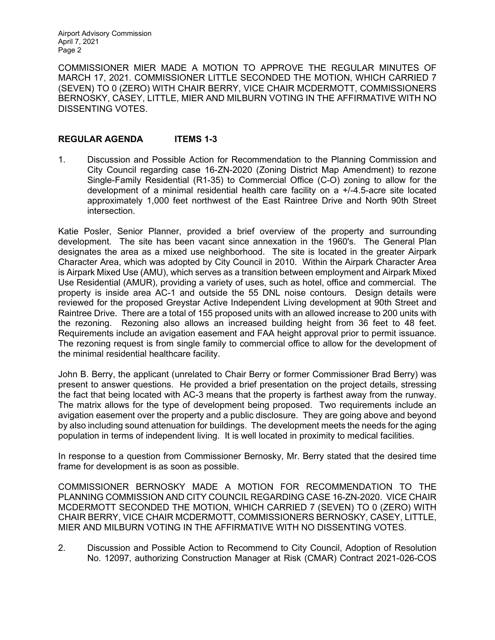Airport Advisory Commission April 7, 2021 Page 2

COMMISSIONER MIER MADE A MOTION TO APPROVE THE REGULAR MINUTES OF MARCH 17, 2021. COMMISSIONER LITTLE SECONDED THE MOTION, WHICH CARRIED 7 (SEVEN) TO 0 (ZERO) WITH CHAIR BERRY, VICE CHAIR MCDERMOTT, COMMISSIONERS BERNOSKY, CASEY, LITTLE, MIER AND MILBURN VOTING IN THE AFFIRMATIVE WITH NO DISSENTING VOTES.

### **REGULAR AGENDA ITEMS 1-3**

1. Discussion and Possible Action for Recommendation to the Planning Commission and City Council regarding case 16-ZN-2020 (Zoning District Map Amendment) to rezone Single-Family Residential (R1-35) to Commercial Office (C-O) zoning to allow for the development of a minimal residential health care facility on a +/-4.5-acre site located approximately 1,000 feet northwest of the East Raintree Drive and North 90th Street intersection.

Katie Posler, Senior Planner, provided a brief overview of the property and surrounding development. The site has been vacant since annexation in the 1960's. The General Plan designates the area as a mixed use neighborhood. The site is located in the greater Airpark Character Area, which was adopted by City Council in 2010. Within the Airpark Character Area is Airpark Mixed Use (AMU), which serves as a transition between employment and Airpark Mixed Use Residential (AMUR), providing a variety of uses, such as hotel, office and commercial. The property is inside area AC-1 and outside the 55 DNL noise contours. Design details were reviewed for the proposed Greystar Active Independent Living development at 90th Street and Raintree Drive. There are a total of 155 proposed units with an allowed increase to 200 units with the rezoning. Rezoning also allows an increased building height from 36 feet to 48 feet. Requirements include an avigation easement and FAA height approval prior to permit issuance. The rezoning request is from single family to commercial office to allow for the development of the minimal residential healthcare facility.

John B. Berry, the applicant (unrelated to Chair Berry or former Commissioner Brad Berry) was present to answer questions. He provided a brief presentation on the project details, stressing the fact that being located with AC-3 means that the property is farthest away from the runway. The matrix allows for the type of development being proposed. Two requirements include an avigation easement over the property and a public disclosure. They are going above and beyond by also including sound attenuation for buildings. The development meets the needs for the aging population in terms of independent living. It is well located in proximity to medical facilities.

In response to a question from Commissioner Bernosky, Mr. Berry stated that the desired time frame for development is as soon as possible.

COMMISSIONER BERNOSKY MADE A MOTION FOR RECOMMENDATION TO THE PLANNING COMMISSION AND CITY COUNCIL REGARDING CASE 16-ZN-2020. VICE CHAIR MCDERMOTT SECONDED THE MOTION, WHICH CARRIED 7 (SEVEN) TO 0 (ZERO) WITH CHAIR BERRY, VICE CHAIR MCDERMOTT, COMMISSIONERS BERNOSKY, CASEY, LITTLE, MIER AND MILBURN VOTING IN THE AFFIRMATIVE WITH NO DISSENTING VOTES.

2. Discussion and Possible Action to Recommend to City Council, Adoption of Resolution No. 12097, authorizing Construction Manager at Risk (CMAR) Contract 2021-026-COS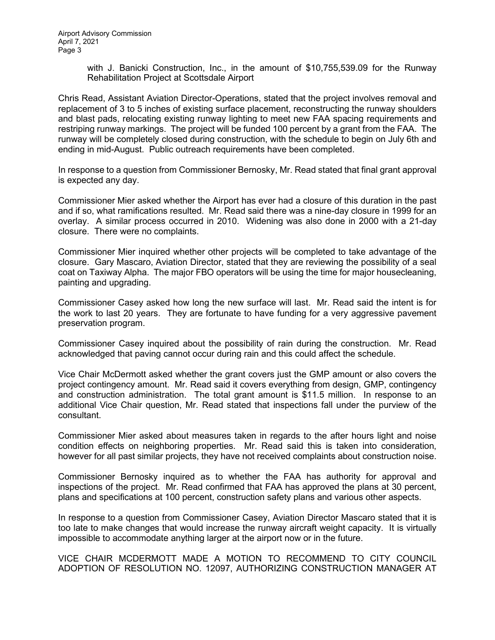with J. Banicki Construction, Inc., in the amount of \$10,755,539.09 for the Runway Rehabilitation Project at Scottsdale Airport

Chris Read, Assistant Aviation Director-Operations, stated that the project involves removal and replacement of 3 to 5 inches of existing surface placement, reconstructing the runway shoulders and blast pads, relocating existing runway lighting to meet new FAA spacing requirements and restriping runway markings. The project will be funded 100 percent by a grant from the FAA. The runway will be completely closed during construction, with the schedule to begin on July 6th and ending in mid-August. Public outreach requirements have been completed.

In response to a question from Commissioner Bernosky, Mr. Read stated that final grant approval is expected any day.

Commissioner Mier asked whether the Airport has ever had a closure of this duration in the past and if so, what ramifications resulted. Mr. Read said there was a nine-day closure in 1999 for an overlay. A similar process occurred in 2010. Widening was also done in 2000 with a 21-day closure. There were no complaints.

Commissioner Mier inquired whether other projects will be completed to take advantage of the closure. Gary Mascaro, Aviation Director, stated that they are reviewing the possibility of a seal coat on Taxiway Alpha. The major FBO operators will be using the time for major housecleaning, painting and upgrading.

Commissioner Casey asked how long the new surface will last. Mr. Read said the intent is for the work to last 20 years. They are fortunate to have funding for a very aggressive pavement preservation program.

Commissioner Casey inquired about the possibility of rain during the construction. Mr. Read acknowledged that paving cannot occur during rain and this could affect the schedule.

Vice Chair McDermott asked whether the grant covers just the GMP amount or also covers the project contingency amount. Mr. Read said it covers everything from design, GMP, contingency and construction administration. The total grant amount is \$11.5 million. In response to an additional Vice Chair question, Mr. Read stated that inspections fall under the purview of the consultant.

Commissioner Mier asked about measures taken in regards to the after hours light and noise condition effects on neighboring properties. Mr. Read said this is taken into consideration, however for all past similar projects, they have not received complaints about construction noise.

Commissioner Bernosky inquired as to whether the FAA has authority for approval and inspections of the project. Mr. Read confirmed that FAA has approved the plans at 30 percent, plans and specifications at 100 percent, construction safety plans and various other aspects.

In response to a question from Commissioner Casey, Aviation Director Mascaro stated that it is too late to make changes that would increase the runway aircraft weight capacity. It is virtually impossible to accommodate anything larger at the airport now or in the future.

VICE CHAIR MCDERMOTT MADE A MOTION TO RECOMMEND TO CITY COUNCIL ADOPTION OF RESOLUTION NO. 12097, AUTHORIZING CONSTRUCTION MANAGER AT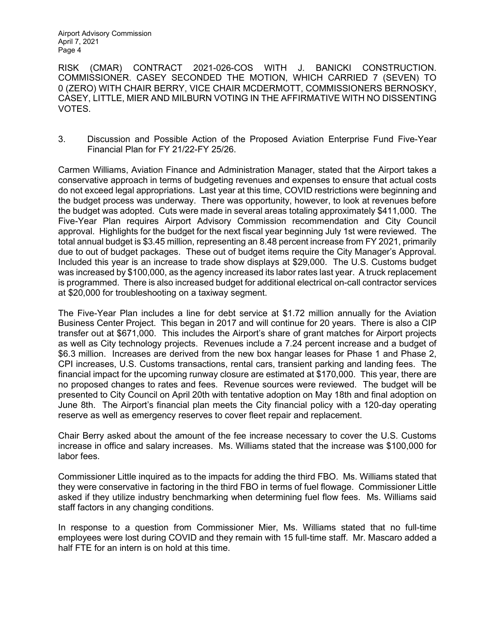Airport Advisory Commission April 7, 2021 Page 4

RISK (CMAR) CONTRACT 2021-026-COS WITH J. BANICKI CONSTRUCTION. COMMISSIONER. CASEY SECONDED THE MOTION, WHICH CARRIED 7 (SEVEN) TO 0 (ZERO) WITH CHAIR BERRY, VICE CHAIR MCDERMOTT, COMMISSIONERS BERNOSKY, CASEY, LITTLE, MIER AND MILBURN VOTING IN THE AFFIRMATIVE WITH NO DISSENTING VOTES.

3. Discussion and Possible Action of the Proposed Aviation Enterprise Fund Five-Year Financial Plan for FY 21/22-FY 25/26.

Carmen Williams, Aviation Finance and Administration Manager, stated that the Airport takes a conservative approach in terms of budgeting revenues and expenses to ensure that actual costs do not exceed legal appropriations. Last year at this time, COVID restrictions were beginning and the budget process was underway. There was opportunity, however, to look at revenues before the budget was adopted. Cuts were made in several areas totaling approximately \$411,000. The Five-Year Plan requires Airport Advisory Commission recommendation and City Council approval. Highlights for the budget for the next fiscal year beginning July 1st were reviewed. The total annual budget is \$3.45 million, representing an 8.48 percent increase from FY 2021, primarily due to out of budget packages. These out of budget items require the City Manager's Approval. Included this year is an increase to trade show displays at \$29,000. The U.S. Customs budget was increased by \$100,000, as the agency increased its labor rates last year. A truck replacement is programmed. There is also increased budget for additional electrical on-call contractor services at \$20,000 for troubleshooting on a taxiway segment.

The Five-Year Plan includes a line for debt service at \$1.72 million annually for the Aviation Business Center Project. This began in 2017 and will continue for 20 years. There is also a CIP transfer out at \$671,000. This includes the Airport's share of grant matches for Airport projects as well as City technology projects. Revenues include a 7.24 percent increase and a budget of \$6.3 million. Increases are derived from the new box hangar leases for Phase 1 and Phase 2, CPI increases, U.S. Customs transactions, rental cars, transient parking and landing fees. The financial impact for the upcoming runway closure are estimated at \$170,000. This year, there are no proposed changes to rates and fees. Revenue sources were reviewed. The budget will be presented to City Council on April 20th with tentative adoption on May 18th and final adoption on June 8th. The Airport's financial plan meets the City financial policy with a 120-day operating reserve as well as emergency reserves to cover fleet repair and replacement.

Chair Berry asked about the amount of the fee increase necessary to cover the U.S. Customs increase in office and salary increases. Ms. Williams stated that the increase was \$100,000 for labor fees.

Commissioner Little inquired as to the impacts for adding the third FBO. Ms. Williams stated that they were conservative in factoring in the third FBO in terms of fuel flowage. Commissioner Little asked if they utilize industry benchmarking when determining fuel flow fees. Ms. Williams said staff factors in any changing conditions.

In response to a question from Commissioner Mier, Ms. Williams stated that no full-time employees were lost during COVID and they remain with 15 full-time staff. Mr. Mascaro added a half FTE for an intern is on hold at this time.